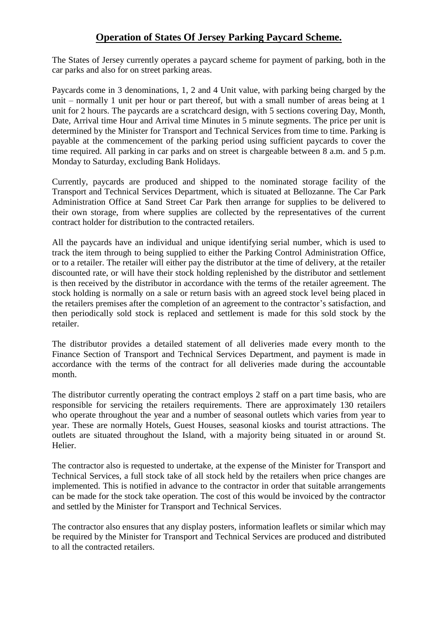## **Operation of States Of Jersey Parking Paycard Scheme.**

The States of Jersey currently operates a paycard scheme for payment of parking, both in the car parks and also for on street parking areas.

Paycards come in 3 denominations, 1, 2 and 4 Unit value, with parking being charged by the unit – normally 1 unit per hour or part thereof, but with a small number of areas being at 1 unit for 2 hours. The paycards are a scratchcard design, with 5 sections covering Day, Month, Date, Arrival time Hour and Arrival time Minutes in 5 minute segments. The price per unit is determined by the Minister for Transport and Technical Services from time to time. Parking is payable at the commencement of the parking period using sufficient paycards to cover the time required. All parking in car parks and on street is chargeable between 8 a.m. and 5 p.m. Monday to Saturday, excluding Bank Holidays.

Currently, paycards are produced and shipped to the nominated storage facility of the Transport and Technical Services Department, which is situated at Bellozanne. The Car Park Administration Office at Sand Street Car Park then arrange for supplies to be delivered to their own storage, from where supplies are collected by the representatives of the current contract holder for distribution to the contracted retailers.

All the paycards have an individual and unique identifying serial number, which is used to track the item through to being supplied to either the Parking Control Administration Office, or to a retailer. The retailer will either pay the distributor at the time of delivery, at the retailer discounted rate, or will have their stock holding replenished by the distributor and settlement is then received by the distributor in accordance with the terms of the retailer agreement. The stock holding is normally on a sale or return basis with an agreed stock level being placed in the retailers premises after the completion of an agreement to the contractor's satisfaction, and then periodically sold stock is replaced and settlement is made for this sold stock by the retailer.

The distributor provides a detailed statement of all deliveries made every month to the Finance Section of Transport and Technical Services Department, and payment is made in accordance with the terms of the contract for all deliveries made during the accountable month.

The distributor currently operating the contract employs 2 staff on a part time basis, who are responsible for servicing the retailers requirements. There are approximately 130 retailers who operate throughout the year and a number of seasonal outlets which varies from year to year. These are normally Hotels, Guest Houses, seasonal kiosks and tourist attractions. The outlets are situated throughout the Island, with a majority being situated in or around St. Helier.

The contractor also is requested to undertake, at the expense of the Minister for Transport and Technical Services, a full stock take of all stock held by the retailers when price changes are implemented. This is notified in advance to the contractor in order that suitable arrangements can be made for the stock take operation. The cost of this would be invoiced by the contractor and settled by the Minister for Transport and Technical Services.

The contractor also ensures that any display posters, information leaflets or similar which may be required by the Minister for Transport and Technical Services are produced and distributed to all the contracted retailers.